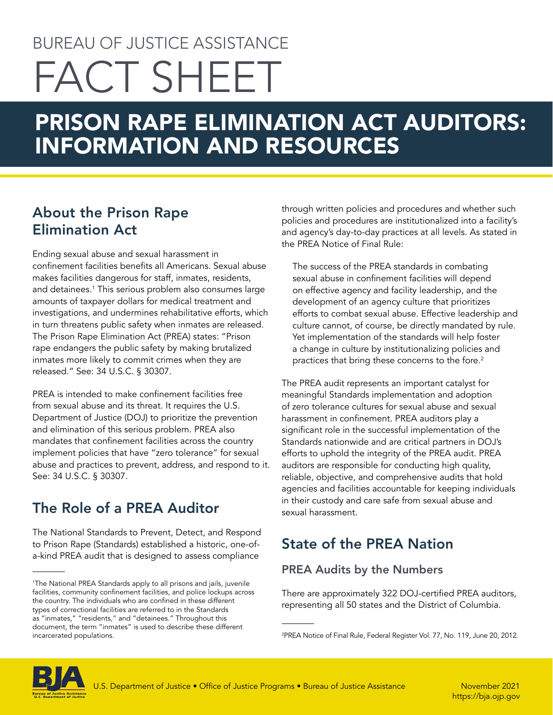# BUREAU OF JUSTICE ASSISTANCE FACT SHEET

# PRISON RAPE ELIMINATION ACT AUDITORS: INFORMATION AND RESOURCES

# About the Prison Rape Elimination Act

Ending sexual abuse and sexual harassment in confinement facilities benefits all Americans. Sexual abuse makes facilities dangerous for staff, inmates, residents, and detainees.<sup>1</sup> This serious problem also consumes large amounts of taxpayer dollars for medical treatment and investigations, and undermines rehabilitative efforts, which in turn threatens public safety when inmates are released. The Prison Rape Elimination Act (PREA) states: "Prison rape endangers the public safety by making brutalized inmates more likely to commit crimes when they are released." See: 34 U.S.C. § 30307.

PREA is intended to make confinement facilities free from sexual abuse and its threat. It requires the U.S. Department of Justice (DOJ) to prioritize the prevention and elimination of this serious problem. PREA also mandates that confinement facilities across the country implement policies that have "zero tolerance" for sexual abuse and practices to prevent, address, and respond to it. See: 34 U.S.C. § 30307.

# The Role of a PREA Auditor

The National Standards to Prevent, Detect, and Respond to Prison Rape (Standards) established a historic, one-ofa-kind PREA audit that is designed to assess compliance

through written policies and procedures and whether such policies and procedures are institutionalized into a facility's and agency's day-to-day practices at all levels. As stated in the PREA Notice of Final Rule:

The success of the PREA standards in combating sexual abuse in confinement facilities will depend on effective agency and facility leadership, and the development of an agency culture that prioritizes efforts to combat sexual abuse. Effective leadership and culture cannot, of course, be directly mandated by rule. Yet implementation of the standards will help foster a change in culture by institutionalizing policies and practices that bring these concerns to the fore. $2$ 

The PREA audit represents an important catalyst for meaningful Standards implementation and adoption of zero tolerance cultures for sexual abuse and sexual harassment in confinement. PREA auditors play a significant role in the successful implementation of the Standards nationwide and are critical partners in DOJ's efforts to uphold the integrity of the PREA audit. PREA auditors are responsible for conducting high quality, reliable, objective, and comprehensive audits that hold agencies and facilities accountable for keeping individuals in their custody and care safe from sexual abuse and sexual harassment.

# State of the PREA Nation

#### PREA Audits by the Numbers

There are approximately 322 DOJ-certified PREA auditors, representing all 50 states and the District of Columbia.



<sup>1</sup> The National PREA Standards apply to all prisons and jails, juvenile facilities, community confinement facilities, and police lockups across the country. The individuals who are confined in these different types of correctional facilities are referred to in the Standards as "inmates," "residents," and "detainees." Throughout this document, the term "inmates" is used to describe these different incarcerated populations.

<sup>2</sup> PREA Notice of Final Rule, Federal Register Vol. 77, No. 119, June 20, 2012.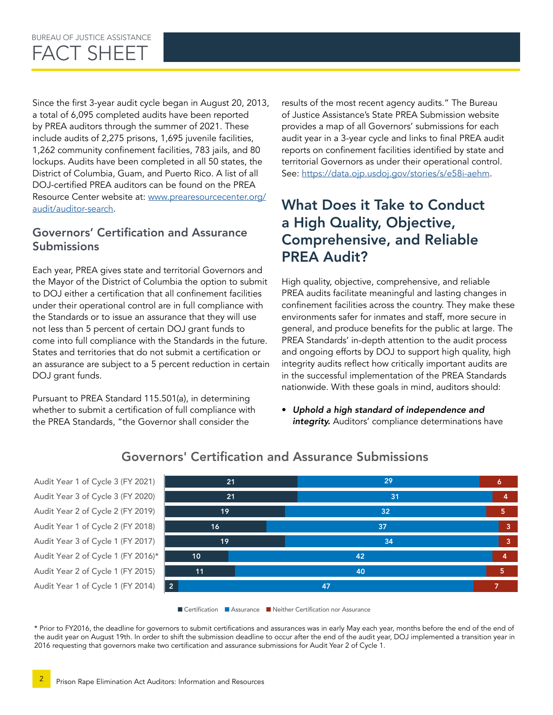Since the first 3-year audit cycle began in August 20, 2013, a total of 6,095 completed audits have been reported by PREA auditors through the summer of 2021. These include audits of 2,275 prisons, 1,695 juvenile facilities, 1,262 community confinement facilities, 783 jails, and 80 lockups. Audits have been completed in all 50 states, the District of Columbia, Guam, and Puerto Rico. A list of all DOJ-certified PREA auditors can be found on the PREA Resource Center website at: [www.prearesourcecenter.org/](http://www.prearesourcecenter.org/audit/auditor-search) [audit/auditor-search](http://www.prearesourcecenter.org/audit/auditor-search).

#### Governors' Certification and Assurance Submissions

Each year, PREA gives state and territorial Governors and the Mayor of the District of Columbia the option to submit to DOJ either a certification that all confinement facilities under their operational control are in full compliance with the Standards or to issue an assurance that they will use not less than 5 percent of certain DOJ grant funds to come into full compliance with the Standards in the future. States and territories that do not submit a certification or an assurance are subject to a 5 percent reduction in certain DOJ grant funds.

Pursuant to PREA Standard 115.501(a), in determining whether to submit a certification of full compliance with the PREA Standards, "the Governor shall consider the

results of the most recent agency audits." The Bureau of Justice Assistance's State PREA Submission website provides a map of all Governors' submissions for each audit year in a 3-year cycle and links to final PREA audit reports on confinement facilities identified by state and territorial Governors as under their operational control. See:<https://data.ojp.usdoj.gov/stories/s/e58i-aehm>.

### What Does it Take to Conduct a High Quality, Objective, Comprehensive, and Reliable PREA Audit?

High quality, objective, comprehensive, and reliable PREA audits facilitate meaningful and lasting changes in confinement facilities across the country. They make these environments safer for inmates and staff, more secure in general, and produce benefits for the public at large. The PREA Standards' in-depth attention to the audit process and ongoing efforts by DOJ to support high quality, high integrity audits reflect how critically important audits are in the successful implementation of the PREA Standards nationwide. With these goals in mind, auditors should:

• *Uphold a high standard of independence and*  integrity. Auditors' compliance determinations have



#### Governors' Certification and Assurance Submissions

■ Certification ■ Assurance ■ Neither Certification nor Assurance

\* Prior to FY2016, the deadline for governors to submit certifications and assurances was in early May each year, months before the end of the end of the audit year on August 19th. In order to shift the submission deadline to occur after the end of the audit year, DOJ implemented a transition year in 2016 requesting that governors make two certification and assurance submissions for Audit Year 2 of Cycle 1.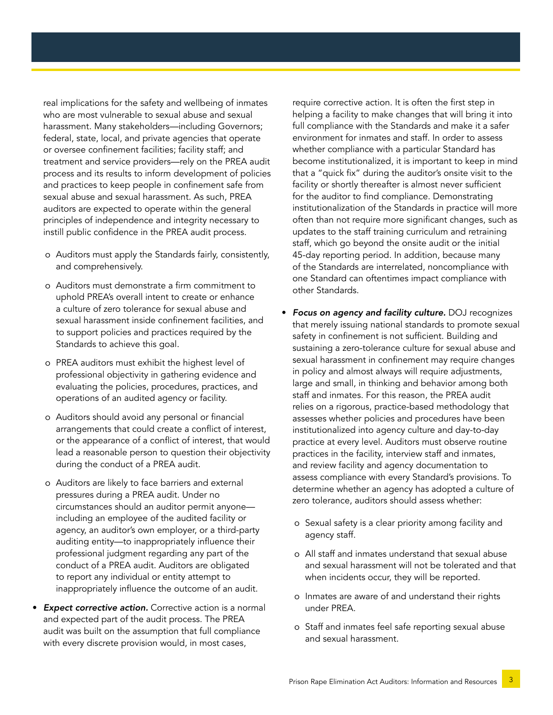real implications for the safety and wellbeing of inmates who are most vulnerable to sexual abuse and sexual harassment. Many stakeholders—including Governors; federal, state, local, and private agencies that operate or oversee confinement facilities; facility staff; and treatment and service providers—rely on the PREA audit process and its results to inform development of policies and practices to keep people in confinement safe from sexual abuse and sexual harassment. As such, PREA auditors are expected to operate within the general principles of independence and integrity necessary to instill public confidence in the PREA audit process.

- o Auditors must apply the Standards fairly, consistently, and comprehensively.
- o Auditors must demonstrate a firm commitment to uphold PREA's overall intent to create or enhance a culture of zero tolerance for sexual abuse and sexual harassment inside confinement facilities, and to support policies and practices required by the Standards to achieve this goal.
- o PREA auditors must exhibit the highest level of professional objectivity in gathering evidence and evaluating the policies, procedures, practices, and operations of an audited agency or facility.
- o Auditors should avoid any personal or financial arrangements that could create a conflict of interest, or the appearance of a conflict of interest, that would lead a reasonable person to question their objectivity during the conduct of a PREA audit.
- o Auditors are likely to face barriers and external pressures during a PREA audit. Under no circumstances should an auditor permit anyone including an employee of the audited facility or agency, an auditor's own employer, or a third-party auditing entity—to inappropriately influence their professional judgment regarding any part of the conduct of a PREA audit. Auditors are obligated to report any individual or entity attempt to inappropriately influence the outcome of an audit.
- *Expect corrective action.* Corrective action is a normal and expected part of the audit process. The PREA audit was built on the assumption that full compliance with every discrete provision would, in most cases,

require corrective action. It is often the first step in helping a facility to make changes that will bring it into full compliance with the Standards and make it a safer environment for inmates and staff. In order to assess whether compliance with a particular Standard has become institutionalized, it is important to keep in mind that a "quick fix" during the auditor's onsite visit to the facility or shortly thereafter is almost never sufficient for the auditor to find compliance. Demonstrating institutionalization of the Standards in practice will more often than not require more significant changes, such as updates to the staff training curriculum and retraining staff, which go beyond the onsite audit or the initial 45-day reporting period. In addition, because many of the Standards are interrelated, noncompliance with one Standard can oftentimes impact compliance with other Standards.

- *Focus on agency and facility culture.* DOJ recognizes that merely issuing national standards to promote sexual safety in confinement is not sufficient. Building and sustaining a zero-tolerance culture for sexual abuse and sexual harassment in confinement may require changes in policy and almost always will require adjustments, large and small, in thinking and behavior among both staff and inmates. For this reason, the PREA audit relies on a rigorous, practice-based methodology that assesses whether policies and procedures have been institutionalized into agency culture and day-to-day practice at every level. Auditors must observe routine practices in the facility, interview staff and inmates, and review facility and agency documentation to assess compliance with every Standard's provisions. To determine whether an agency has adopted a culture of zero tolerance, auditors should assess whether:
	- o Sexual safety is a clear priority among facility and agency staff.
	- o All staff and inmates understand that sexual abuse and sexual harassment will not be tolerated and that when incidents occur, they will be reported.
	- o Inmates are aware of and understand their rights under PREA.
	- o Staff and inmates feel safe reporting sexual abuse and sexual harassment.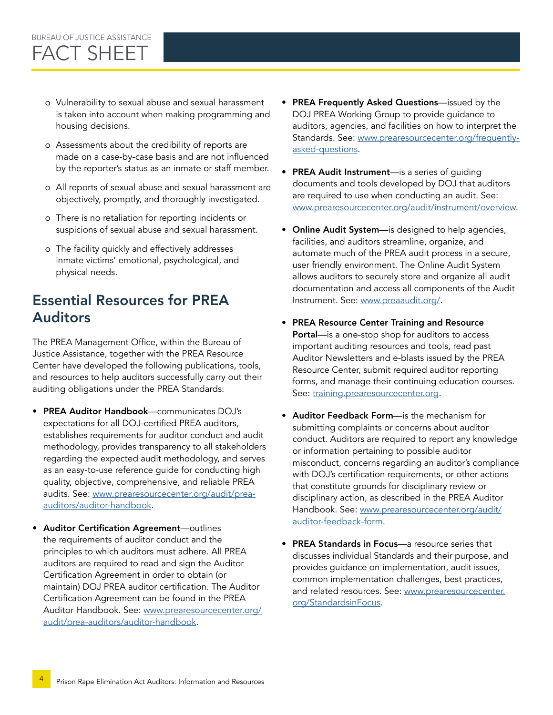#### o Vulnerability to sexual abuse and sexual harassment is taken into account when making programming and housing decisions.

- o Assessments about the credibility of reports are made on a case-by-case basis and are not influenced by the reporter's status as an inmate or staff member.
- o All reports of sexual abuse and sexual harassment are objectively, promptly, and thoroughly investigated.
- o There is no retaliation for reporting incidents or suspicions of sexual abuse and sexual harassment.
- o The facility quickly and effectively addresses inmate victims' emotional, psychological, and physical needs.

### Essential Resources for PREA Auditors

The PREA Management Office, within the Bureau of Justice Assistance, together with the PREA Resource Center have developed the following publications, tools, and resources to help auditors successfully carry out their auditing obligations under the PREA Standards:

- PREA Auditor Handbook—communicates DOJ's expectations for all DOJ-certified PREA auditors, establishes requirements for auditor conduct and audit methodology, provides transparency to all stakeholders regarding the expected audit methodology, and serves as an easy-to-use reference guide for conducting high quality, objective, comprehensive, and reliable PREA audits. See: [www.prearesourcecenter.org/audit/prea](http://www.prearesourcecenter.org/audit/prea-auditors/auditor-handbook)[auditors/auditor-handbook.](http://www.prearesourcecenter.org/audit/prea-auditors/auditor-handbook)
- Auditor Certification Agreement—outlines the requirements of auditor conduct and the principles to which auditors must adhere. All PREA auditors are required to read and sign the Auditor Certification Agreement in order to obtain (or maintain) DOJ PREA auditor certification. The Auditor Certification Agreement can be found in the PREA Auditor Handbook. See: [www.prearesourcecenter.org/](http://www.prearesourcecenter.org/audit/prea-auditors/auditor-handbook) [audit/prea-auditors/auditor-handbook](http://www.prearesourcecenter.org/audit/prea-auditors/auditor-handbook).
- PREA Frequently Asked Questions—issued by the DOJ PREA Working Group to provide guidance to auditors, agencies, and facilities on how to interpret the Standards. See: [www.prearesourcecenter.org/frequently](http://www.prearesourcecenter.org/frequently-asked-questions)[asked-questions](http://www.prearesourcecenter.org/frequently-asked-questions).
- PREA Audit Instrument—is a series of guiding documents and tools developed by DOJ that auditors are required to use when conducting an audit. See: [www.prearesourcecenter.org/audit/instrument/overview](http://www.prearesourcecenter.org/audit/instrument/overview).
- Online Audit System—is designed to help agencies, facilities, and auditors streamline, organize, and automate much of the PREA audit process in a secure, user friendly environment. The Online Audit System allows auditors to securely store and organize all audit documentation and access all components of the Audit Instrument. See: [www.preaaudit.org/.](http://www.preaaudit.org/)
- PREA Resource Center Training and Resource Portal—is a one-stop shop for auditors to access important auditing resources and tools, read past Auditor Newsletters and e-blasts issued by the PREA Resource Center, submit required auditor reporting forms, and manage their continuing education courses. See: [training.prearesourcecenter.org](http://training.prearesourcecenter.org).
- Auditor Feedback Form—is the mechanism for submitting complaints or concerns about auditor conduct. Auditors are required to report any knowledge or information pertaining to possible auditor misconduct, concerns regarding an auditor's compliance with DOJ's certification requirements, or other actions that constitute grounds for disciplinary review or disciplinary action, as described in the PREA Auditor Handbook. See: [www.prearesourcecenter.org/audit/](http://www.prearesourcecenter.org/audit/auditor-feedback-form) [auditor-feedback-form.](http://www.prearesourcecenter.org/audit/auditor-feedback-form)
- PREA Standards in Focus—a resource series that discusses individual Standards and their purpose, and provides guidance on implementation, audit issues, common implementation challenges, best practices, and related resources. See: [www.prearesourcecenter.](http://www.prearesourcecenter.org/StandardsinFocus) [org/StandardsinFocus](http://www.prearesourcecenter.org/StandardsinFocus).